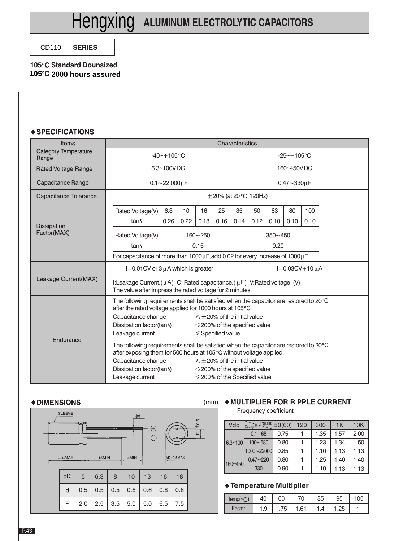CD110 CD110 **SERIES** 

#### **105 Standard Dounsized 105 105 2000 hours assured**

#### ♦ SPECIFICATIONS

| <b>Items</b>                  | Characteristics                                                                                                                                                                                                                            |      |      |                                    |                                                                                                                   |      |      |                 |             |      |  |  |
|-------------------------------|--------------------------------------------------------------------------------------------------------------------------------------------------------------------------------------------------------------------------------------------|------|------|------------------------------------|-------------------------------------------------------------------------------------------------------------------|------|------|-----------------|-------------|------|--|--|
| Category Temperature<br>Range | $-40$ ~+105 $^{\circ}$ C                                                                                                                                                                                                                   |      |      |                                    |                                                                                                                   |      |      | $-25 - +105$ °C |             |      |  |  |
| Rated Voltage Range           | 6.3~100V.DC                                                                                                                                                                                                                                |      |      |                                    |                                                                                                                   |      |      |                 | 160~450V.DC |      |  |  |
| Capacitance Range             | $0.1 - 22.000 \mu F$                                                                                                                                                                                                                       |      |      |                                    | $0.47 - 330 \mu F$                                                                                                |      |      |                 |             |      |  |  |
| Capacitance Tolerance         | $\pm$ 20% (at 20 $^{\circ}$ C 120Hz)                                                                                                                                                                                                       |      |      |                                    |                                                                                                                   |      |      |                 |             |      |  |  |
|                               | Rated Voltage(V)                                                                                                                                                                                                                           | 6.3  | 10   | 16                                 | 25                                                                                                                | 35   | 50   | 63              | 80          | 100  |  |  |
| <b>Dissipation</b>            | $tan \delta$                                                                                                                                                                                                                               | 0.26 | 0.22 | 0.18                               | 0.16                                                                                                              | 0.14 | 0.12 | 0.10            | 0.10        | 0.10 |  |  |
| Factor(MAX)                   | Rated Voltage(V)                                                                                                                                                                                                                           |      |      | $350 - 450$                        |                                                                                                                   |      |      |                 |             |      |  |  |
|                               | $tan \delta$                                                                                                                                                                                                                               |      |      | 0.20                               |                                                                                                                   |      |      |                 |             |      |  |  |
|                               | For capacitance of more than $1000 \mu$ F, add 0.02 for every increase of $1000 \mu$ F                                                                                                                                                     |      |      |                                    |                                                                                                                   |      |      |                 |             |      |  |  |
|                               | $I=0.01$ CV or 3 $\mu$ A which is greater                                                                                                                                                                                                  |      |      |                                    | $I = 0.03CV + 10 \mu A$                                                                                           |      |      |                 |             |      |  |  |
| Leakage Current(MAX)          | I:Leakage Current. $(\mu A)$ C: Rated capacitance. $(\mu F)$ V:Rated voltage. (V)<br>The value after impress the rated voltage for 2 minutes.                                                                                              |      |      |                                    |                                                                                                                   |      |      |                 |             |      |  |  |
|                               | The following requirements shall be satisfied when the capacitor are restored to 20°C<br>after the rated voltage applied for 1000 hours at 105°C                                                                                           |      |      |                                    |                                                                                                                   |      |      |                 |             |      |  |  |
|                               | Capacitance change                                                                                                                                                                                                                         |      |      |                                    | $\leq$ +20% of the initial value                                                                                  |      |      |                 |             |      |  |  |
|                               | Dissipation factor(tan $\delta$ )                                                                                                                                                                                                          |      |      | $\leq$ 200% of the specified value |                                                                                                                   |      |      |                 |             |      |  |  |
|                               | Leakage current                                                                                                                                                                                                                            |      |      | $\leq$ Specified value             |                                                                                                                   |      |      |                 |             |      |  |  |
| Endurance                     | The following requirements shall be satisfied when the capacitor are restored to 20°C<br>after exposing them for 500 hours at 105°C without voltage applied.<br>Capacitance change<br>Dissipation factor(tan $\delta$ )<br>Leakage current |      |      |                                    | $\leq$ $\pm$ 20% of the initial value<br>$\leq$ 200% of the specified value<br>$\leq$ 200% of the Specified value |      |      |                 |             |      |  |  |

#### **◆ DIMENSIONS**

| <b>SLEEVE</b><br>$L + \alpha MAX$ |     |     | 15MIN | φd<br>4MIN | $\oplus$<br>⊖ | $\pm 0.5$<br>$\epsilon$<br>Щ<br>-ò.<br>$\phi$ D+0.5MAX |     |  |  |
|-----------------------------------|-----|-----|-------|------------|---------------|--------------------------------------------------------|-----|--|--|
| φD                                | 5   | 6.3 | 8     | 10         | 13            | 16                                                     | 18  |  |  |
| d                                 | 0.5 | 0.5 | 0.5   | 0.6        | 0.6           | 0.8                                                    | 0.8 |  |  |
| F                                 | 2.0 | 2.5 | 3.5   | 5.0        | 5.0           | 6.5                                                    | 7.5 |  |  |

### (mm) ◆ MULTIPLIER FOR RIPPLE CURRENT

Frequency coefficient

| Vdc         | Cap.(µF)     | $Frep.(Hz)$ 50(60) | 120 | 300  | 1K   | 10K  |
|-------------|--------------|--------------------|-----|------|------|------|
|             | $0.1 - 68$   | 0.75               |     | 1.35 | 1.57 | 2.00 |
| $6.3 - 100$ | $100 - 680$  | 0.80               |     | 1.23 | 1.34 | 1.50 |
|             | 1000~22000   | 0.85               |     | 1.10 | 1.13 | 1.13 |
| 160~450     | $0.47 - 220$ | 0.80               |     | 1.25 | 1.40 | 1.40 |
|             | 330          | 0.90               |     | 1.10 | 1.13 | 1.13 |

#### **Temperature Multiplier**

| n<br>remp( | 40  | 60      | 70   | 85  | 95     | 05، |
|------------|-----|---------|------|-----|--------|-----|
| Factor     | 1.9 | ن ، ، ا | 1.61 | 1.4 | ن ∠. ا |     |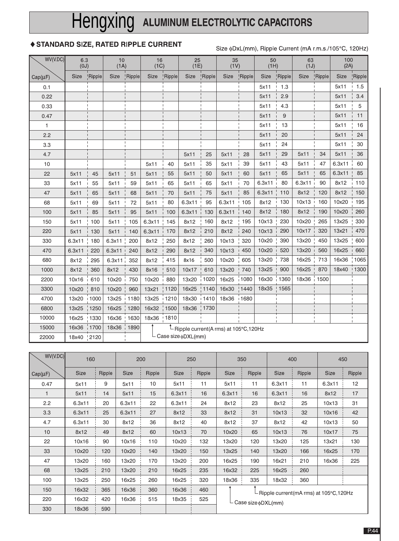# Hengxing ALUMINUM ELECTROLYTIC CAPACITORS

### ♦ STANDARD SIZE, RATED RIPPLE CURRENT

Size  $\phi$ DxL(mm), Ripple Current (mA r.m.s./105°C, 120Hz)

| WV(V.DC)     | 6.3<br>(0J) |         | 10<br>(1A) |                    | 16<br>(1C) |         | 25<br>(1E)               |         | 35<br>(1V)                                                              |                        | 50<br>(HH)  |               | 63<br>(1J)  |               | 100<br>(2A) |         |
|--------------|-------------|---------|------------|--------------------|------------|---------|--------------------------|---------|-------------------------------------------------------------------------|------------------------|-------------|---------------|-------------|---------------|-------------|---------|
| $Cap(\mu F)$ | <b>Size</b> | !Ripple | Size       | <b>Ripple</b>      | Size       | !Ripple | <b>Size</b>              | !Ripple | Size                                                                    | !Ripple                | <b>Size</b> | <b>Ripple</b> | <b>Size</b> | <b>Ripple</b> | <b>Size</b> | 'Ripple |
| 0.1          |             |         |            |                    |            |         |                          |         |                                                                         |                        | 5x11        | 1.3           |             |               | 5x11        | 1.5     |
| 0.22         |             |         |            |                    |            |         |                          |         |                                                                         |                        | 5x11        | 2.9           |             |               | 5x11        | 3.4     |
| 0.33         |             |         |            |                    |            |         |                          |         |                                                                         |                        | 5x11        | 4.3           |             |               | 5x11        | 5       |
| 0.47         |             |         |            |                    |            |         |                          |         |                                                                         |                        | 5x11        | 9             |             |               | 5x11        | 11      |
| $\mathbf{1}$ |             |         |            |                    |            |         |                          |         |                                                                         |                        | 5x11        | 13            |             |               | 5x11        | 16      |
| 2.2          |             |         |            |                    |            |         |                          |         |                                                                         |                        | 5x11        | 20            |             |               | 5x11        | 24      |
| 3.3          |             |         |            |                    |            |         |                          |         |                                                                         |                        | 5x11        | 24            |             |               | 5x11        | 30      |
| 4.7          |             |         |            |                    |            |         | 5x11                     | 25      | 5x11                                                                    | 28                     | 5x11        | 29            | 5x11        | 34            | 5x11        | 36      |
| 10           |             |         |            |                    | 5x11       | 40      | 5x11                     | 35      | 5x11                                                                    | 39                     | 5x11        | 43            | 5x11        | 47            | 6.3x11      | 60      |
| 22           | 5x11        | 45      | 5x11       | 51                 | 5x11       | 55      | 5x11                     | 50      | 5x11                                                                    | 60                     | 5x11        | 65            | 5x11        | 65            | 6.3x11      | 85      |
| 33           | 5x11        | 55      | 5x11       | 59                 | 5x11       | 65      | 5x11                     | 65      | 5x11                                                                    | 70                     | 6.3x11      | 80            | 6.3x11      | 90            | 8x12        | 110     |
| 47           | 5x11        | 65      | 5x11       | 68                 | 5x11       | 70      | 5x11                     | 75      | 5x11                                                                    | 85                     | 6.3x11      | 110           | 8x12        | 120           | 8x12        | 150     |
| 68           | 5x11        | 69      | 5x11       | 72                 | 5x11       | 80      | 6.3x11                   | 95      | 6.3x11                                                                  | 105                    | 8x12        | 130           | 10x13       | 160           | 10x20       | 195     |
| 100          | 5x11        | 85      | 5x11       | 95                 | 5x11       | 100     | 6.3x11                   | 130     | 6.3x11                                                                  | 140                    | 8x12        | 180           | 8x12        | 190           | 10x20       | 260     |
| 150          | 5x11        | 100     | 5x11       | 105                | 6.3x11     | 145     | 8x12                     | 160     | 8x12                                                                    | 195                    | 10x13       | 230           | 10x20       | 265           | 13x25       | 330     |
| 220          | 5x11        | 130     | 5x11       | 140                | 6.3x11     | 170     | 8x12                     | 210     | 8x12                                                                    | 240                    | 10x13       | 290           | 10x17       | 320           | 13x21       | 470     |
| 330          | 6.3x11      | 180     | 6.3x11     | 200                | 8x12       | 250     | 8x12                     | 260     | 10x13                                                                   | 320                    | 10x20       | 390           | 13x20       | 450           | 13x25       | 600     |
| 470          | 6.3x11      | 220     | 6.3x11     | 240                | 8x12       | 290     | 8x12                     | 340     | 10x13                                                                   | 450                    | 10x20       | 520           | 13x20       | 560           | 16x25       | 660     |
| 680          | 8x12        | 295     | 6.3x11     | 352                | 8x12       | 415     | 8x16                     | 500     | 10x20                                                                   | 605                    | 13x20       | 738           | 16x25       | 713           | 16x36       | 1065    |
| 1000         | 8x12        | 360     | 8x12       | 430                | 8x16       | 510     | 10x17                    | 610     | 13x20                                                                   | 740                    | 13x25       | 900           | 16x25       | 870           | 18x40       | 1300    |
| 2200         | 10x16       | 610     | 10x20      | 750                | 10x20      | 880     | 13x20                    | 1020    | 16x25                                                                   | 1080                   | 16x30       | 1360          | 18x36       | 1500          |             |         |
| 3300         | 10x20       | 810     | 10x20      | 960                | 13x21      | 1120    | 16x25                    | !1140   | 16x30                                                                   | !1440                  | 18x35       | 1565          |             |               |             |         |
| 4700         | 13x20       | 1000    | 13x25      | 1180               | 13x25      | 1210    | 18x30                    | 1410    | 18x36                                                                   | 1680<br>$\overline{1}$ |             |               |             |               |             |         |
| 6800         | 13x25       | 1250    | 16x25      | 1280               | 16x32      | 1500    | 18x36                    | 1730    |                                                                         |                        |             |               |             |               |             |         |
| 10000        | 16x25       | $+1330$ | 16x36      | 1630               | 18x36      | 1810    |                          |         |                                                                         |                        |             |               |             |               |             |         |
| 15000        | 16x36       | 1700    | 18x36      | $\frac{1}{1}$ 1890 |            |         |                          |         | $\mathbb{\overset{\textup{h}}{L}}$ Ripple current(A rms) at 105°C,120Hz |                        |             |               |             |               |             |         |
| 22000        | 18x40       | !2120   |            |                    |            |         | Case size $\phi$ DXL(mm) |         |                                                                         |                        |             |               |             |               |             |         |

| WV(V.DC)     | 160<br>200  |        |             | 250    |             |        | 350    |                                                                 | 400         | 450    |             |        |  |
|--------------|-------------|--------|-------------|--------|-------------|--------|--------|-----------------------------------------------------------------|-------------|--------|-------------|--------|--|
| $Cap(\mu F)$ | <b>Size</b> | Ripple | <b>Size</b> | Ripple | <b>Size</b> | Ripple | Size   | Ripple                                                          | <b>Size</b> | Ripple | <b>Size</b> | Ripple |  |
| 0.47         | 5x11        | 9      | 5x11        | 10     | 5x11        | 11     | 5x11   | 11                                                              | 6.3x11      | 11     | 6.3x11      | 12     |  |
|              | 5x11        | 14     | 5x11        | 15     | 6.3x11      | 16     | 6.3x11 | 16                                                              | 6.3x11      | 16     | 8x12        | 17     |  |
| 2.2          | 6.3x11      | 20     | 6.3x11      | 22     | 6.3x11      | 24     | 8x12   | 23                                                              | 8x12        | 25     | 10x13       | 31     |  |
| 3.3          | 6.3x11      | 25     | 6.3x11      | 27     | 8x12        | 33     | 8x12   | 31                                                              | 10x13       | 32     | 10x16       | 42     |  |
| 4.7          | 6.3x11      | 30     | 8x12        | 36     | 8x12        | 40     | 8x12   | 37                                                              | 8x12        | 42     | 10x13       | 50     |  |
| 10           | 8x12        | 49     | 8x12        | 60     | 10x13       | 70     | 10x20  | 65                                                              | 10x13       | 76     | 10x17       | 75     |  |
| 22           | 10x16       | 90     | 10x16       | 110    | 10x20       | 132    | 13x20  | 120                                                             | 13x20       | 125    | 13x21       | 130    |  |
| 33           | 10x20       | 120    | 10x20       | 140    | 13x20       | 150    | 13x25  | 140                                                             | 13x20       | 166    | 16x25       | 170    |  |
| 47           | 13x20       | 160    | 13x20       | 170    | 13x20       | 200    | 16x25  | 190                                                             | 16x21       | 210    | 16x36       | 225    |  |
| 68           | 13x25       | 210    | 13x20       | 210    | 16x25       | 235    | 16x32  | 225                                                             | 16x25       | 260    |             |        |  |
| 100          | 13x25       | 250    | 16x25       | 260    | 16x25       | 320    | 18x36  | 335                                                             | 18x32       | 360    |             |        |  |
| 150          | 16x32       | 365    | 16x36       | 360    | 16x36       | 460    |        | -Ripple current(mA rms) at 105°C,120Hz<br>└ Case size  oDXL(mm) |             |        |             |        |  |
| 220          | 16x32       | 420    | 16x36       | 515    | 18x35       | 525    |        |                                                                 |             |        |             |        |  |
| 330          | 18x36       | 590    |             |        |             |        |        |                                                                 |             |        |             |        |  |